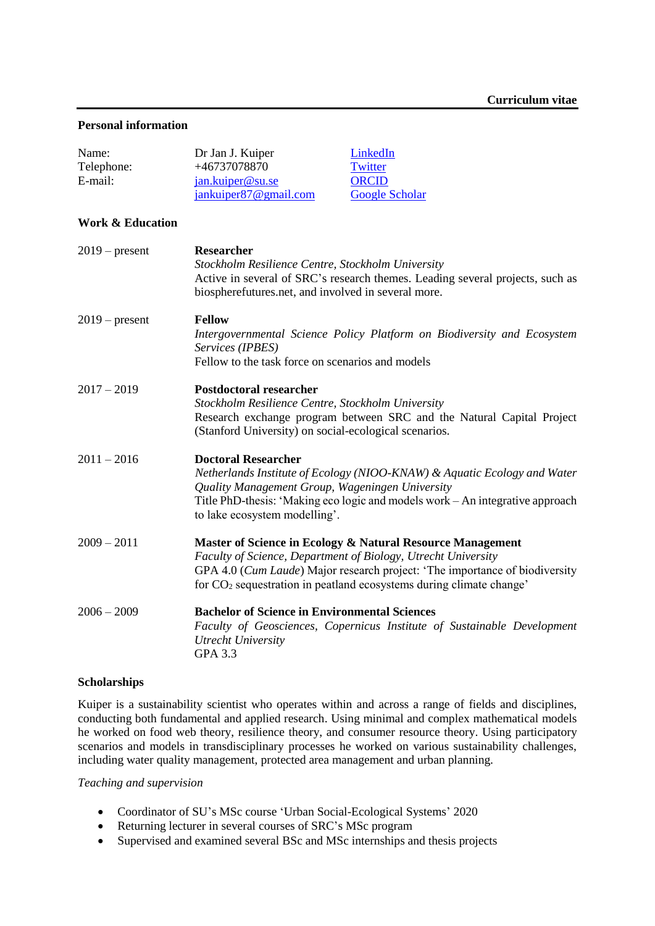#### **Personal information**

| Name:<br>Telephone:<br>E-mail: | Dr Jan J. Kuiper<br>LinkedIn<br>+46737078870<br>Twitter<br><b>ORCID</b><br>jan.kuiper@su.se<br>jankuiper87@gmail.com<br><b>Google Scholar</b>                                                                                                                                                 |
|--------------------------------|-----------------------------------------------------------------------------------------------------------------------------------------------------------------------------------------------------------------------------------------------------------------------------------------------|
| <b>Work &amp; Education</b>    |                                                                                                                                                                                                                                                                                               |
| $2019$ – present               | Researcher<br>Stockholm Resilience Centre, Stockholm University<br>Active in several of SRC's research themes. Leading several projects, such as<br>biospherefutures.net, and involved in several more.                                                                                       |
| $2019$ – present               | <b>Fellow</b><br>Intergovernmental Science Policy Platform on Biodiversity and Ecosystem<br>Services (IPBES)<br>Fellow to the task force on scenarios and models                                                                                                                              |
| $2017 - 2019$                  | <b>Postdoctoral researcher</b><br>Stockholm Resilience Centre, Stockholm University<br>Research exchange program between SRC and the Natural Capital Project<br>(Stanford University) on social-ecological scenarios.                                                                         |
| $2011 - 2016$                  | <b>Doctoral Researcher</b><br>Netherlands Institute of Ecology (NIOO-KNAW) & Aquatic Ecology and Water<br>Quality Management Group, Wageningen University<br>Title PhD-thesis: 'Making eco logic and models work – An integrative approach<br>to lake ecosystem modelling'.                   |
| $2009 - 2011$                  | Master of Science in Ecology & Natural Resource Management<br>Faculty of Science, Department of Biology, Utrecht University<br>GPA 4.0 (Cum Laude) Major research project: 'The importance of biodiversity<br>for CO <sub>2</sub> sequestration in peatland ecosystems during climate change' |
| $2006 - 2009$                  | <b>Bachelor of Science in Environmental Sciences</b><br>Faculty of Geosciences, Copernicus Institute of Sustainable Development<br><b>Utrecht University</b><br><b>GPA 3.3</b>                                                                                                                |

### **Scholarships**

Kuiper is a sustainability scientist who operates within and across a range of fields and disciplines, conducting both fundamental and applied research. Using minimal and complex mathematical models he worked on food web theory, resilience theory, and consumer resource theory. Using participatory scenarios and models in transdisciplinary processes he worked on various sustainability challenges, including water quality management, protected area management and urban planning.

#### *Teaching and supervision*

- Coordinator of SU's MSc course 'Urban Social-Ecological Systems' 2020
- Returning lecturer in several courses of SRC's MSc program
- Supervised and examined several BSc and MSc internships and thesis projects